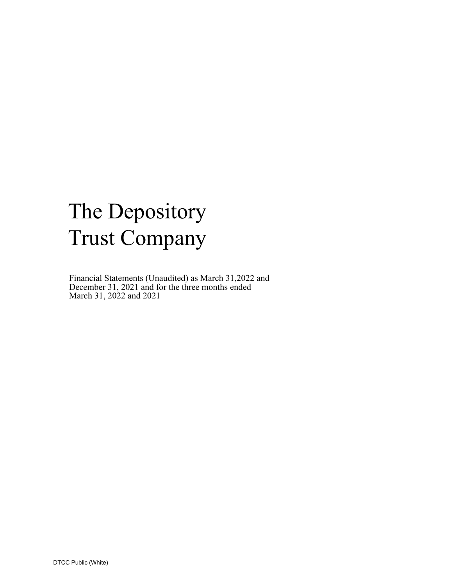# The Depository Trust Company

Financial Statements (Unaudited) as March 31,2022 and December 31, 2021 and for the three months ended March 31, 2022 and 2021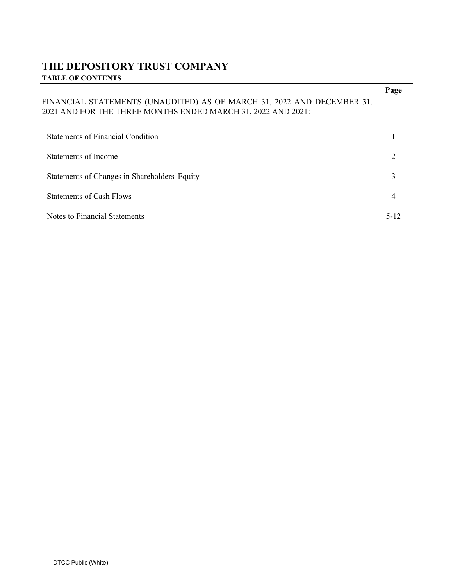# **THE DEPOSITORY TRUST COMPANY TABLE OF CONTENTS**

|                                                                                                                                        | Page                        |
|----------------------------------------------------------------------------------------------------------------------------------------|-----------------------------|
| FINANCIAL STATEMENTS (UNAUDITED) AS OF MARCH 31, 2022 AND DECEMBER 31,<br>2021 AND FOR THE THREE MONTHS ENDED MARCH 31, 2022 AND 2021: |                             |
| Statements of Financial Condition                                                                                                      |                             |
| Statements of Income                                                                                                                   | $\mathcal{D}_{\mathcal{L}}$ |
| Statements of Changes in Shareholders' Equity                                                                                          | 3                           |
| <b>Statements of Cash Flows</b>                                                                                                        | 4                           |
| Notes to Financial Statements                                                                                                          | 5-12                        |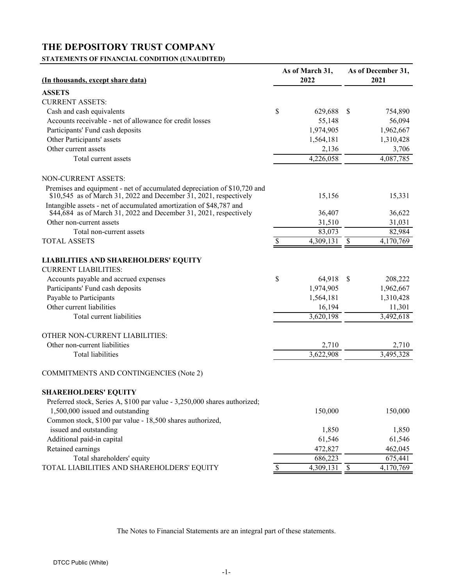# <span id="page-2-0"></span>**STATEMENTS OF FINANCIAL CONDITION (UNAUDITED)**

| <b>ASSETS</b><br><b>CURRENT ASSETS:</b><br>\$<br>$\mathcal{S}$<br>Cash and cash equivalents<br>629,688<br>754,890<br>Accounts receivable - net of allowance for credit losses<br>55,148<br>56,094<br>Participants' Fund cash deposits<br>1,974,905<br>1,962,667<br>Other Participants' assets<br>1,564,181<br>1,310,428<br>Other current assets<br>2,136<br>3,706<br>4,226,058<br>4,087,785<br>Total current assets<br><b>NON-CURRENT ASSETS:</b><br>Premises and equipment - net of accumulated depreciation of \$10,720 and<br>$$10,545$ as of March 31, 2022 and December 31, 2021, respectively<br>15,156<br>15,331<br>Intangible assets - net of accumulated amortization of \$48,787 and<br>\$44,684 as of March 31, 2022 and December 31, 2021, respectively<br>36,407<br>36,622<br>Other non-current assets<br>31,510<br>31,031<br>83,073<br>82,984<br>Total non-current assets<br>4,309,131<br>$\overline{\mathcal{S}}$<br>4,170,769<br><b>TOTAL ASSETS</b><br><b>LIABILITIES AND SHAREHOLDERS' EQUITY</b><br><b>CURRENT LIABILITIES:</b><br>\$<br>64,918<br>Accounts payable and accrued expenses<br>$\boldsymbol{\mathsf{S}}$<br>208,222<br>Participants' Fund cash deposits<br>1,974,905<br>1,962,667<br>Payable to Participants<br>1,310,428<br>1,564,181<br>Other current liabilities<br>16,194<br>11,301<br>3,620,198<br>3,492,618<br>Total current liabilities<br>OTHER NON-CURRENT LIABILITIES:<br>Other non-current liabilities<br>2,710<br>2,710<br>3,622,908<br>3,495,328<br><b>Total liabilities</b><br><b>COMMITMENTS AND CONTINGENCIES (Note 2)</b><br><b>SHAREHOLDERS' EQUITY</b><br>Preferred stock, Series A, \$100 par value - 3,250,000 shares authorized;<br>150,000<br>1,500,000 issued and outstanding<br>150,000<br>Common stock, \$100 par value - 18,500 shares authorized,<br>issued and outstanding<br>1,850<br>1,850<br>Additional paid-in capital<br>61,546<br>61,546<br>Retained earnings<br>472,827<br>462,045<br>Total shareholders' equity<br>686,223<br>675,441<br>TOTAL LIABILITIES AND SHAREHOLDERS' EQUITY<br>\$<br>4,309,131<br>$\mathbb{S}$<br>4,170,769 |                                   | As of March 31, |  | As of December 31, |  |  |
|----------------------------------------------------------------------------------------------------------------------------------------------------------------------------------------------------------------------------------------------------------------------------------------------------------------------------------------------------------------------------------------------------------------------------------------------------------------------------------------------------------------------------------------------------------------------------------------------------------------------------------------------------------------------------------------------------------------------------------------------------------------------------------------------------------------------------------------------------------------------------------------------------------------------------------------------------------------------------------------------------------------------------------------------------------------------------------------------------------------------------------------------------------------------------------------------------------------------------------------------------------------------------------------------------------------------------------------------------------------------------------------------------------------------------------------------------------------------------------------------------------------------------------------------------------------------------------------------------------------------------------------------------------------------------------------------------------------------------------------------------------------------------------------------------------------------------------------------------------------------------------------------------------------------------------------------------------------------------------------------------------------------------------------------------------------------------------------------------------|-----------------------------------|-----------------|--|--------------------|--|--|
|                                                                                                                                                                                                                                                                                                                                                                                                                                                                                                                                                                                                                                                                                                                                                                                                                                                                                                                                                                                                                                                                                                                                                                                                                                                                                                                                                                                                                                                                                                                                                                                                                                                                                                                                                                                                                                                                                                                                                                                                                                                                                                          | (In thousands, except share data) | 2022            |  | 2021               |  |  |
|                                                                                                                                                                                                                                                                                                                                                                                                                                                                                                                                                                                                                                                                                                                                                                                                                                                                                                                                                                                                                                                                                                                                                                                                                                                                                                                                                                                                                                                                                                                                                                                                                                                                                                                                                                                                                                                                                                                                                                                                                                                                                                          |                                   |                 |  |                    |  |  |
|                                                                                                                                                                                                                                                                                                                                                                                                                                                                                                                                                                                                                                                                                                                                                                                                                                                                                                                                                                                                                                                                                                                                                                                                                                                                                                                                                                                                                                                                                                                                                                                                                                                                                                                                                                                                                                                                                                                                                                                                                                                                                                          |                                   |                 |  |                    |  |  |
|                                                                                                                                                                                                                                                                                                                                                                                                                                                                                                                                                                                                                                                                                                                                                                                                                                                                                                                                                                                                                                                                                                                                                                                                                                                                                                                                                                                                                                                                                                                                                                                                                                                                                                                                                                                                                                                                                                                                                                                                                                                                                                          |                                   |                 |  |                    |  |  |
|                                                                                                                                                                                                                                                                                                                                                                                                                                                                                                                                                                                                                                                                                                                                                                                                                                                                                                                                                                                                                                                                                                                                                                                                                                                                                                                                                                                                                                                                                                                                                                                                                                                                                                                                                                                                                                                                                                                                                                                                                                                                                                          |                                   |                 |  |                    |  |  |
|                                                                                                                                                                                                                                                                                                                                                                                                                                                                                                                                                                                                                                                                                                                                                                                                                                                                                                                                                                                                                                                                                                                                                                                                                                                                                                                                                                                                                                                                                                                                                                                                                                                                                                                                                                                                                                                                                                                                                                                                                                                                                                          |                                   |                 |  |                    |  |  |
|                                                                                                                                                                                                                                                                                                                                                                                                                                                                                                                                                                                                                                                                                                                                                                                                                                                                                                                                                                                                                                                                                                                                                                                                                                                                                                                                                                                                                                                                                                                                                                                                                                                                                                                                                                                                                                                                                                                                                                                                                                                                                                          |                                   |                 |  |                    |  |  |
|                                                                                                                                                                                                                                                                                                                                                                                                                                                                                                                                                                                                                                                                                                                                                                                                                                                                                                                                                                                                                                                                                                                                                                                                                                                                                                                                                                                                                                                                                                                                                                                                                                                                                                                                                                                                                                                                                                                                                                                                                                                                                                          |                                   |                 |  |                    |  |  |
|                                                                                                                                                                                                                                                                                                                                                                                                                                                                                                                                                                                                                                                                                                                                                                                                                                                                                                                                                                                                                                                                                                                                                                                                                                                                                                                                                                                                                                                                                                                                                                                                                                                                                                                                                                                                                                                                                                                                                                                                                                                                                                          |                                   |                 |  |                    |  |  |
|                                                                                                                                                                                                                                                                                                                                                                                                                                                                                                                                                                                                                                                                                                                                                                                                                                                                                                                                                                                                                                                                                                                                                                                                                                                                                                                                                                                                                                                                                                                                                                                                                                                                                                                                                                                                                                                                                                                                                                                                                                                                                                          |                                   |                 |  |                    |  |  |
|                                                                                                                                                                                                                                                                                                                                                                                                                                                                                                                                                                                                                                                                                                                                                                                                                                                                                                                                                                                                                                                                                                                                                                                                                                                                                                                                                                                                                                                                                                                                                                                                                                                                                                                                                                                                                                                                                                                                                                                                                                                                                                          |                                   |                 |  |                    |  |  |
|                                                                                                                                                                                                                                                                                                                                                                                                                                                                                                                                                                                                                                                                                                                                                                                                                                                                                                                                                                                                                                                                                                                                                                                                                                                                                                                                                                                                                                                                                                                                                                                                                                                                                                                                                                                                                                                                                                                                                                                                                                                                                                          |                                   |                 |  |                    |  |  |
|                                                                                                                                                                                                                                                                                                                                                                                                                                                                                                                                                                                                                                                                                                                                                                                                                                                                                                                                                                                                                                                                                                                                                                                                                                                                                                                                                                                                                                                                                                                                                                                                                                                                                                                                                                                                                                                                                                                                                                                                                                                                                                          |                                   |                 |  |                    |  |  |
|                                                                                                                                                                                                                                                                                                                                                                                                                                                                                                                                                                                                                                                                                                                                                                                                                                                                                                                                                                                                                                                                                                                                                                                                                                                                                                                                                                                                                                                                                                                                                                                                                                                                                                                                                                                                                                                                                                                                                                                                                                                                                                          |                                   |                 |  |                    |  |  |
|                                                                                                                                                                                                                                                                                                                                                                                                                                                                                                                                                                                                                                                                                                                                                                                                                                                                                                                                                                                                                                                                                                                                                                                                                                                                                                                                                                                                                                                                                                                                                                                                                                                                                                                                                                                                                                                                                                                                                                                                                                                                                                          |                                   |                 |  |                    |  |  |
|                                                                                                                                                                                                                                                                                                                                                                                                                                                                                                                                                                                                                                                                                                                                                                                                                                                                                                                                                                                                                                                                                                                                                                                                                                                                                                                                                                                                                                                                                                                                                                                                                                                                                                                                                                                                                                                                                                                                                                                                                                                                                                          |                                   |                 |  |                    |  |  |
|                                                                                                                                                                                                                                                                                                                                                                                                                                                                                                                                                                                                                                                                                                                                                                                                                                                                                                                                                                                                                                                                                                                                                                                                                                                                                                                                                                                                                                                                                                                                                                                                                                                                                                                                                                                                                                                                                                                                                                                                                                                                                                          |                                   |                 |  |                    |  |  |
|                                                                                                                                                                                                                                                                                                                                                                                                                                                                                                                                                                                                                                                                                                                                                                                                                                                                                                                                                                                                                                                                                                                                                                                                                                                                                                                                                                                                                                                                                                                                                                                                                                                                                                                                                                                                                                                                                                                                                                                                                                                                                                          |                                   |                 |  |                    |  |  |
|                                                                                                                                                                                                                                                                                                                                                                                                                                                                                                                                                                                                                                                                                                                                                                                                                                                                                                                                                                                                                                                                                                                                                                                                                                                                                                                                                                                                                                                                                                                                                                                                                                                                                                                                                                                                                                                                                                                                                                                                                                                                                                          |                                   |                 |  |                    |  |  |
|                                                                                                                                                                                                                                                                                                                                                                                                                                                                                                                                                                                                                                                                                                                                                                                                                                                                                                                                                                                                                                                                                                                                                                                                                                                                                                                                                                                                                                                                                                                                                                                                                                                                                                                                                                                                                                                                                                                                                                                                                                                                                                          |                                   |                 |  |                    |  |  |
|                                                                                                                                                                                                                                                                                                                                                                                                                                                                                                                                                                                                                                                                                                                                                                                                                                                                                                                                                                                                                                                                                                                                                                                                                                                                                                                                                                                                                                                                                                                                                                                                                                                                                                                                                                                                                                                                                                                                                                                                                                                                                                          |                                   |                 |  |                    |  |  |
|                                                                                                                                                                                                                                                                                                                                                                                                                                                                                                                                                                                                                                                                                                                                                                                                                                                                                                                                                                                                                                                                                                                                                                                                                                                                                                                                                                                                                                                                                                                                                                                                                                                                                                                                                                                                                                                                                                                                                                                                                                                                                                          |                                   |                 |  |                    |  |  |
|                                                                                                                                                                                                                                                                                                                                                                                                                                                                                                                                                                                                                                                                                                                                                                                                                                                                                                                                                                                                                                                                                                                                                                                                                                                                                                                                                                                                                                                                                                                                                                                                                                                                                                                                                                                                                                                                                                                                                                                                                                                                                                          |                                   |                 |  |                    |  |  |
|                                                                                                                                                                                                                                                                                                                                                                                                                                                                                                                                                                                                                                                                                                                                                                                                                                                                                                                                                                                                                                                                                                                                                                                                                                                                                                                                                                                                                                                                                                                                                                                                                                                                                                                                                                                                                                                                                                                                                                                                                                                                                                          |                                   |                 |  |                    |  |  |
|                                                                                                                                                                                                                                                                                                                                                                                                                                                                                                                                                                                                                                                                                                                                                                                                                                                                                                                                                                                                                                                                                                                                                                                                                                                                                                                                                                                                                                                                                                                                                                                                                                                                                                                                                                                                                                                                                                                                                                                                                                                                                                          |                                   |                 |  |                    |  |  |
|                                                                                                                                                                                                                                                                                                                                                                                                                                                                                                                                                                                                                                                                                                                                                                                                                                                                                                                                                                                                                                                                                                                                                                                                                                                                                                                                                                                                                                                                                                                                                                                                                                                                                                                                                                                                                                                                                                                                                                                                                                                                                                          |                                   |                 |  |                    |  |  |
|                                                                                                                                                                                                                                                                                                                                                                                                                                                                                                                                                                                                                                                                                                                                                                                                                                                                                                                                                                                                                                                                                                                                                                                                                                                                                                                                                                                                                                                                                                                                                                                                                                                                                                                                                                                                                                                                                                                                                                                                                                                                                                          |                                   |                 |  |                    |  |  |
|                                                                                                                                                                                                                                                                                                                                                                                                                                                                                                                                                                                                                                                                                                                                                                                                                                                                                                                                                                                                                                                                                                                                                                                                                                                                                                                                                                                                                                                                                                                                                                                                                                                                                                                                                                                                                                                                                                                                                                                                                                                                                                          |                                   |                 |  |                    |  |  |
|                                                                                                                                                                                                                                                                                                                                                                                                                                                                                                                                                                                                                                                                                                                                                                                                                                                                                                                                                                                                                                                                                                                                                                                                                                                                                                                                                                                                                                                                                                                                                                                                                                                                                                                                                                                                                                                                                                                                                                                                                                                                                                          |                                   |                 |  |                    |  |  |
|                                                                                                                                                                                                                                                                                                                                                                                                                                                                                                                                                                                                                                                                                                                                                                                                                                                                                                                                                                                                                                                                                                                                                                                                                                                                                                                                                                                                                                                                                                                                                                                                                                                                                                                                                                                                                                                                                                                                                                                                                                                                                                          |                                   |                 |  |                    |  |  |
|                                                                                                                                                                                                                                                                                                                                                                                                                                                                                                                                                                                                                                                                                                                                                                                                                                                                                                                                                                                                                                                                                                                                                                                                                                                                                                                                                                                                                                                                                                                                                                                                                                                                                                                                                                                                                                                                                                                                                                                                                                                                                                          |                                   |                 |  |                    |  |  |
|                                                                                                                                                                                                                                                                                                                                                                                                                                                                                                                                                                                                                                                                                                                                                                                                                                                                                                                                                                                                                                                                                                                                                                                                                                                                                                                                                                                                                                                                                                                                                                                                                                                                                                                                                                                                                                                                                                                                                                                                                                                                                                          |                                   |                 |  |                    |  |  |
|                                                                                                                                                                                                                                                                                                                                                                                                                                                                                                                                                                                                                                                                                                                                                                                                                                                                                                                                                                                                                                                                                                                                                                                                                                                                                                                                                                                                                                                                                                                                                                                                                                                                                                                                                                                                                                                                                                                                                                                                                                                                                                          |                                   |                 |  |                    |  |  |
|                                                                                                                                                                                                                                                                                                                                                                                                                                                                                                                                                                                                                                                                                                                                                                                                                                                                                                                                                                                                                                                                                                                                                                                                                                                                                                                                                                                                                                                                                                                                                                                                                                                                                                                                                                                                                                                                                                                                                                                                                                                                                                          |                                   |                 |  |                    |  |  |
|                                                                                                                                                                                                                                                                                                                                                                                                                                                                                                                                                                                                                                                                                                                                                                                                                                                                                                                                                                                                                                                                                                                                                                                                                                                                                                                                                                                                                                                                                                                                                                                                                                                                                                                                                                                                                                                                                                                                                                                                                                                                                                          |                                   |                 |  |                    |  |  |
|                                                                                                                                                                                                                                                                                                                                                                                                                                                                                                                                                                                                                                                                                                                                                                                                                                                                                                                                                                                                                                                                                                                                                                                                                                                                                                                                                                                                                                                                                                                                                                                                                                                                                                                                                                                                                                                                                                                                                                                                                                                                                                          |                                   |                 |  |                    |  |  |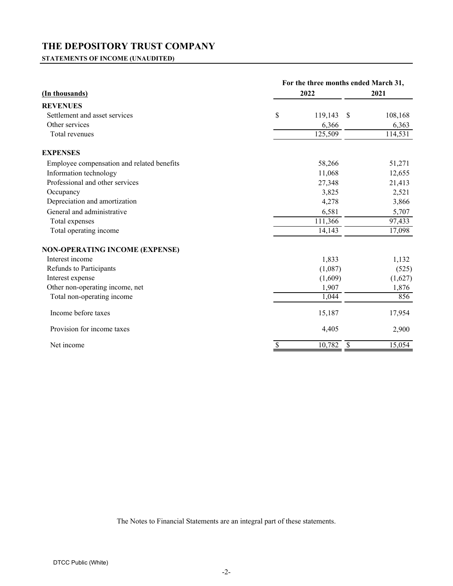<span id="page-3-0"></span>**STATEMENTS OF INCOME (UNAUDITED)**

|                                            | For the three months ended March 31, |         |               |         |  |  |
|--------------------------------------------|--------------------------------------|---------|---------------|---------|--|--|
| (In thousands)                             |                                      | 2022    |               | 2021    |  |  |
| <b>REVENUES</b>                            |                                      |         |               |         |  |  |
| Settlement and asset services              | \$                                   | 119,143 | $\mathcal{S}$ | 108,168 |  |  |
| Other services                             |                                      | 6,366   |               | 6,363   |  |  |
| Total revenues                             |                                      | 125,509 |               | 114,531 |  |  |
| <b>EXPENSES</b>                            |                                      |         |               |         |  |  |
| Employee compensation and related benefits |                                      | 58,266  |               | 51,271  |  |  |
| Information technology                     |                                      | 11,068  |               | 12,655  |  |  |
| Professional and other services            |                                      | 27,348  |               | 21,413  |  |  |
| Occupancy                                  |                                      | 3,825   |               | 2,521   |  |  |
| Depreciation and amortization              |                                      | 4,278   |               | 3,866   |  |  |
| General and administrative                 |                                      | 6,581   |               | 5,707   |  |  |
| Total expenses                             |                                      | 111,366 |               | 97,433  |  |  |
| Total operating income                     |                                      | 14,143  |               | 17,098  |  |  |
| <b>NON-OPERATING INCOME (EXPENSE)</b>      |                                      |         |               |         |  |  |
| Interest income                            |                                      | 1,833   |               | 1,132   |  |  |
| Refunds to Participants                    |                                      | (1,087) |               | (525)   |  |  |
| Interest expense                           |                                      | (1,609) |               | (1,627) |  |  |
| Other non-operating income, net            |                                      | 1,907   |               | 1,876   |  |  |
| Total non-operating income                 |                                      | 1,044   |               | 856     |  |  |
| Income before taxes                        |                                      | 15,187  |               | 17,954  |  |  |
| Provision for income taxes                 |                                      | 4,405   |               | 2,900   |  |  |
| Net income                                 | \$                                   | 10,782  | \$            | 15,054  |  |  |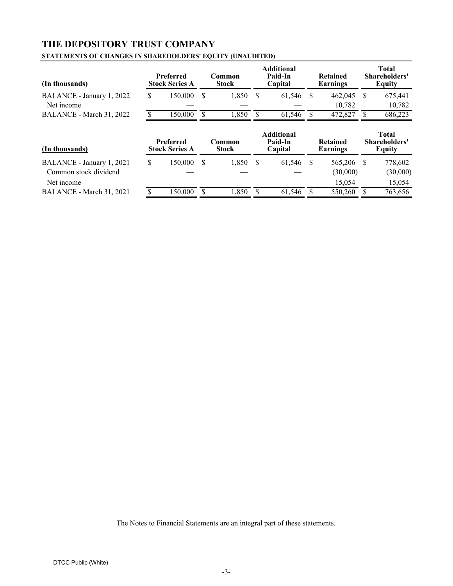#### <span id="page-4-0"></span>**STATEMENTS OF CHANGES IN SHAREHOLDERS' EQUITY (UNAUDITED)**

| (In thousands)                          |    | <b>Preferred</b><br><b>Stock Series A</b> | Common<br><b>Stock</b> | <b>Additional</b><br>Paid-In<br>Capital | <b>Retained</b><br>Earnings | <b>Total</b><br>Shareholders'<br><b>Equity</b> |
|-----------------------------------------|----|-------------------------------------------|------------------------|-----------------------------------------|-----------------------------|------------------------------------------------|
| BALANCE - January 1, 2022<br>Net income | S. | 150,000                                   | 1,850                  | 61,546                                  | 462,045<br>10.782           | 675,441<br>10,782                              |
| BALANCE - March 31, 2022                |    | 150,000                                   | .850                   | 61.546                                  | 472,827                     | 686,223                                        |
|                                         |    | Preferred                                 | Common                 | <b>Additional</b><br>Paid-In            | <b>Retained</b>             | Total<br>Shareholders'                         |

| (In thousands)            |    | r reierrea<br><b>Stock Series A</b> | $\mathop{\mathsf{comm}}\nolimits$ non<br>Stock | гаю-іп<br>Capital | Retained<br>Earnings | <b>S</b> nareholders<br>Equity |
|---------------------------|----|-------------------------------------|------------------------------------------------|-------------------|----------------------|--------------------------------|
| BALANCE - January 1, 2021 | S. | 150.000                             | 1.850                                          | 61.546            | 565.206              | 778,602                        |
| Common stock dividend     |    |                                     |                                                |                   | (30.000)             | (30,000)                       |
| Net income                |    |                                     |                                                |                   | 15.054               | 15.054                         |
| BALANCE - March 31, 2021  |    | 150.000                             | .,850                                          | 61.546            | 550,260              | 763,656                        |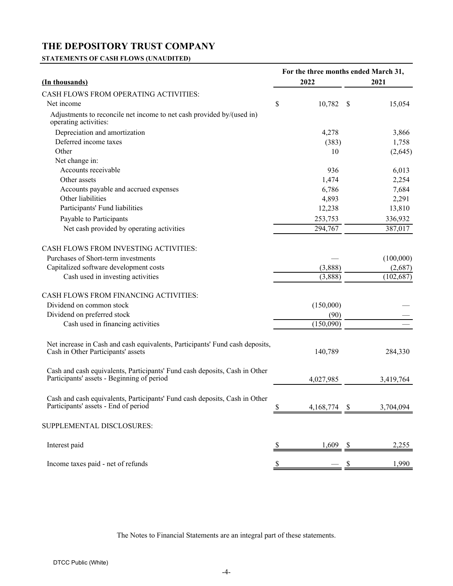<span id="page-5-0"></span>**STATEMENTS OF CASH FLOWS (UNAUDITED)**

|                                                                                                                          | For the three months ended March 31, |           |    |            |  |  |  |
|--------------------------------------------------------------------------------------------------------------------------|--------------------------------------|-----------|----|------------|--|--|--|
| 2022<br>(In thousands)                                                                                                   |                                      |           |    | 2021       |  |  |  |
| <b>CASH FLOWS FROM OPERATING ACTIVITIES:</b>                                                                             |                                      |           |    |            |  |  |  |
| Net income                                                                                                               | \$                                   | 10,782    | \$ | 15,054     |  |  |  |
| Adjustments to reconcile net income to net cash provided by/(used in)<br>operating activities:                           |                                      |           |    |            |  |  |  |
| Depreciation and amortization                                                                                            |                                      | 4,278     |    | 3,866      |  |  |  |
| Deferred income taxes                                                                                                    |                                      | (383)     |    | 1,758      |  |  |  |
| Other                                                                                                                    |                                      | 10        |    | (2,645)    |  |  |  |
| Net change in:                                                                                                           |                                      |           |    |            |  |  |  |
| Accounts receivable                                                                                                      |                                      | 936       |    | 6,013      |  |  |  |
| Other assets                                                                                                             |                                      | 1,474     |    | 2,254      |  |  |  |
| Accounts payable and accrued expenses                                                                                    |                                      | 6,786     |    | 7,684      |  |  |  |
| Other liabilities                                                                                                        |                                      | 4,893     |    | 2,291      |  |  |  |
| Participants' Fund liabilities                                                                                           |                                      | 12,238    |    | 13,810     |  |  |  |
| Payable to Participants                                                                                                  |                                      | 253,753   |    | 336,932    |  |  |  |
| Net cash provided by operating activities                                                                                |                                      | 294,767   |    | 387,017    |  |  |  |
| <b>CASH FLOWS FROM INVESTING ACTIVITIES:</b>                                                                             |                                      |           |    |            |  |  |  |
| Purchases of Short-term investments                                                                                      |                                      |           |    | (100,000)  |  |  |  |
| Capitalized software development costs                                                                                   |                                      | (3,888)   |    | (2,687)    |  |  |  |
| Cash used in investing activities                                                                                        |                                      | (3,888)   |    | (102, 687) |  |  |  |
| CASH FLOWS FROM FINANCING ACTIVITIES:                                                                                    |                                      |           |    |            |  |  |  |
| Dividend on common stock                                                                                                 |                                      | (150,000) |    |            |  |  |  |
| Dividend on preferred stock                                                                                              |                                      | (90)      |    |            |  |  |  |
| Cash used in financing activities                                                                                        |                                      | (150,090) |    |            |  |  |  |
| Net increase in Cash and cash equivalents, Participants' Fund cash deposits,<br>Cash in Other Participants' assets       |                                      | 140,789   |    | 284,330    |  |  |  |
| Cash and cash equivalents, Participants' Fund cash deposits, Cash in Other<br>Participants' assets - Beginning of period |                                      | 4,027,985 |    | 3,419,764  |  |  |  |
| Cash and cash equivalents, Participants' Fund cash deposits, Cash in Other<br>Participants' assets - End of period       | \$                                   | 4,168,774 | S  | 3,704,094  |  |  |  |
| SUPPLEMENTAL DISCLOSURES:                                                                                                |                                      |           |    |            |  |  |  |
| Interest paid                                                                                                            | <sup>2</sup>                         | 1,609     | -S | 2,255      |  |  |  |
|                                                                                                                          |                                      |           |    |            |  |  |  |
| Income taxes paid - net of refunds                                                                                       | \$                                   |           | \$ | 1,990      |  |  |  |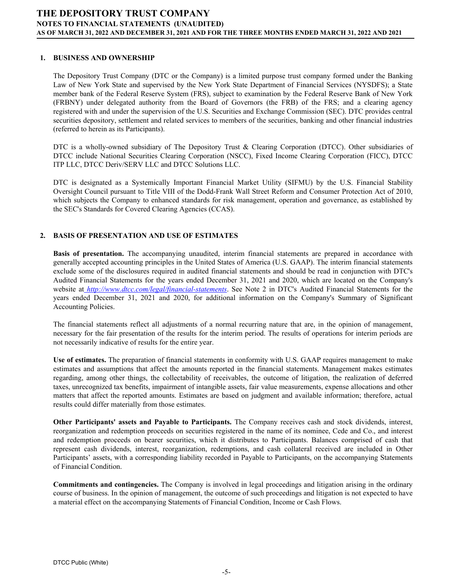#### <span id="page-6-0"></span>**1. BUSINESS AND OWNERSHIP**

The Depository Trust Company (DTC or the Company) is a limited purpose trust company formed under the Banking Law of New York State and supervised by the New York State Department of Financial Services (NYSDFS); a State member bank of the Federal Reserve System (FRS), subject to examination by the Federal Reserve Bank of New York (FRBNY) under delegated authority from the Board of Governors (the FRB) of the FRS; and a clearing agency registered with and under the supervision of the U.S. Securities and Exchange Commission (SEC). DTC provides central securities depository, settlement and related services to members of the securities, banking and other financial industries (referred to herein as its Participants).

DTC is a wholly-owned subsidiary of The Depository Trust & Clearing Corporation (DTCC). Other subsidiaries of DTCC include National Securities Clearing Corporation (NSCC), Fixed Income Clearing Corporation (FICC), DTCC ITP LLC, DTCC Deriv/SERV LLC and DTCC Solutions LLC.

DTC is designated as a Systemically Important Financial Market Utility (SIFMU) by the U.S. Financial Stability Oversight Council pursuant to Title VIII of the Dodd-Frank Wall Street Reform and Consumer Protection Act of 2010, which subjects the Company to enhanced standards for risk management, operation and governance, as established by the SEC's Standards for Covered Clearing Agencies (CCAS).

#### **2. BASIS OF PRESENTATION AND USE OF ESTIMATES**

**Basis of presentation.** The accompanying unaudited, interim financial statements are prepared in accordance with generally accepted accounting principles in the United States of America (U.S. GAAP). The interim financial statements exclude some of the disclosures required in audited financial statements and should be read in conjunction with DTC's Audited Financial Statements for the years ended December 31, 2021 and 2020, which are located on the Company's website at *http://www.dtcc.com/legal/financial-statements*. See Note 2 in DTC's Audited Financial Statements for the years ended December 31, 2021 and 2020, for additional information on the Company's Summary of Significant Accounting Policies.

The financial statements reflect all adjustments of a normal recurring nature that are, in the opinion of management, necessary for the fair presentation of the results for the interim period. The results of operations for interim periods are not necessarily indicative of results for the entire year.

**Use of estimates.** The preparation of financial statements in conformity with U.S. GAAP requires management to make estimates and assumptions that affect the amounts reported in the financial statements. Management makes estimates regarding, among other things, the collectability of receivables, the outcome of litigation, the realization of deferred taxes, unrecognized tax benefits, impairment of intangible assets, fair value measurements, expense allocations and other matters that affect the reported amounts. Estimates are based on judgment and available information; therefore, actual results could differ materially from those estimates.

**Other Participants' assets and Payable to Participants.** The Company receives cash and stock dividends, interest, reorganization and redemption proceeds on securities registered in the name of its nominee, Cede and Co., and interest and redemption proceeds on bearer securities, which it distributes to Participants. Balances comprised of cash that represent cash dividends, interest, reorganization, redemptions, and cash collateral received are included in Other Participants' assets, with a corresponding liability recorded in Payable to Participants, on the accompanying Statements of Financial Condition.

**Commitments and contingencies.** The Company is involved in legal proceedings and litigation arising in the ordinary course of business. In the opinion of management, the outcome of such proceedings and litigation is not expected to have a material effect on the accompanying Statements of Financial Condition, Income or Cash Flows.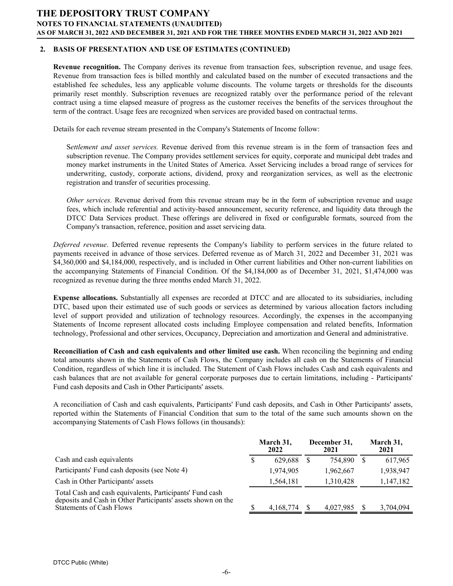#### **2. BASIS OF PRESENTATION AND USE OF ESTIMATES (CONTINUED)**

**Revenue recognition.** The Company derives its revenue from transaction fees, subscription revenue, and usage fees. Revenue from transaction fees is billed monthly and calculated based on the number of executed transactions and the established fee schedules, less any applicable volume discounts. The volume targets or thresholds for the discounts primarily reset monthly. Subscription revenues are recognized ratably over the performance period of the relevant contract using a time elapsed measure of progress as the customer receives the benefits of the services throughout the term of the contract. Usage fees are recognized when services are provided based on contractual terms.

Details for each revenue stream presented in the Company's Statements of Income follow:

S*ettlement and asset services.* Revenue derived from this revenue stream is in the form of transaction fees and subscription revenue. The Company provides settlement services for equity, corporate and municipal debt trades and money market instruments in the United States of America. Asset Servicing includes a broad range of services for underwriting, custody, corporate actions, dividend, proxy and reorganization services, as well as the electronic registration and transfer of securities processing.

*Other services.* Revenue derived from this revenue stream may be in the form of subscription revenue and usage fees, which include referential and activity-based announcement, security reference, and liquidity data through the DTCC Data Services product. These offerings are delivered in fixed or configurable formats, sourced from the Company's transaction, reference, position and asset servicing data.

*Deferred revenue*. Deferred revenue represents the Company's liability to perform services in the future related to payments received in advance of those services. Deferred revenue as of March 31, 2022 and December 31, 2021 was \$4,360,000 and \$4,184,000, respectively, and is included in Other current liabilities and Other non-current liabilities on the accompanying Statements of Financial Condition. Of the \$4,184,000 as of December 31, 2021, \$1,474,000 was recognized as revenue during the three months ended March 31, 2022.

**Expense allocations.** Substantially all expenses are recorded at DTCC and are allocated to its subsidiaries, including DTC, based upon their estimated use of such goods or services as determined by various allocation factors including level of support provided and utilization of technology resources. Accordingly, the expenses in the accompanying Statements of Income represent allocated costs including Employee compensation and related benefits, Information technology, Professional and other services, Occupancy, Depreciation and amortization and General and administrative.

**Reconciliation of Cash and cash equivalents and other limited use cash.** When reconciling the beginning and ending total amounts shown in the Statements of Cash Flows, the Company includes all cash on the Statements of Financial Condition, regardless of which line it is included. The Statement of Cash Flows includes Cash and cash equivalents and cash balances that are not available for general corporate purposes due to certain limitations, including - Participants' Fund cash deposits and Cash in Other Participants' assets.

A reconciliation of Cash and cash equivalents, Participants' Fund cash deposits, and Cash in Other Participants' assets, reported within the Statements of Financial Condition that sum to the total of the same such amounts shown on the accompanying Statements of Cash Flows follows (in thousands):

|                                                                                                                                                             | March 31,<br>2022 | December 31,<br>2021 | March 31,<br>2021 |
|-------------------------------------------------------------------------------------------------------------------------------------------------------------|-------------------|----------------------|-------------------|
| Cash and cash equivalents                                                                                                                                   | 629.688           | 754.890              | 617,965           |
| Participants' Fund cash deposits (see Note 4)                                                                                                               | 1,974,905         | 1,962,667            | 1,938,947         |
| Cash in Other Participants' assets                                                                                                                          | 1,564,181         | 1,310,428            | 1,147,182         |
| Total Cash and cash equivalents, Participants' Fund cash<br>deposits and Cash in Other Participants' assets shown on the<br><b>Statements of Cash Flows</b> | 4, 168, 774       | 4,027,985            | 3,704,094         |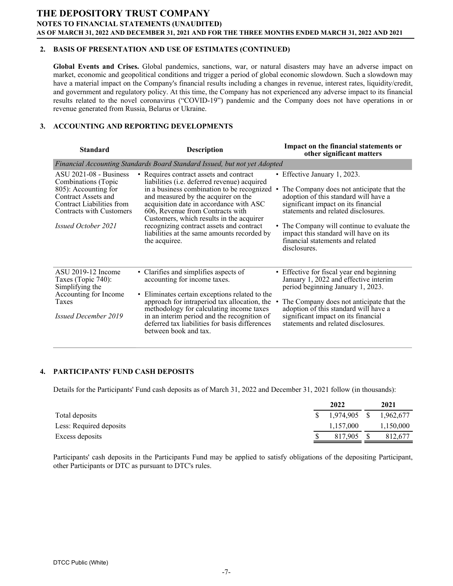#### **2. BASIS OF PRESENTATION AND USE OF ESTIMATES (CONTINUED)**

**Global Events and Crises.** Global pandemics, sanctions, war, or natural disasters may have an adverse impact on market, economic and geopolitical conditions and trigger a period of global economic slowdown. Such a slowdown may have a material impact on the Company's financial results including a changes in revenue, interest rates, liquidity/credit, and government and regulatory policy. At this time, the Company has not experienced any adverse impact to its financial results related to the novel coronavirus ("COVID-19") pandemic and the Company does not have operations in or revenue generated from Russia, Belarus or Ukraine.

#### **3. ACCOUNTING AND REPORTING DEVELOPMENTS**

| <b>Standard</b>                                                                                                                                                                       | <b>Description</b>                                                                                                                                                                                                                                                                                                                                                                                                          | Impact on the financial statements or<br>other significant matters                                                                                                                                                                                                                                                                          |
|---------------------------------------------------------------------------------------------------------------------------------------------------------------------------------------|-----------------------------------------------------------------------------------------------------------------------------------------------------------------------------------------------------------------------------------------------------------------------------------------------------------------------------------------------------------------------------------------------------------------------------|---------------------------------------------------------------------------------------------------------------------------------------------------------------------------------------------------------------------------------------------------------------------------------------------------------------------------------------------|
|                                                                                                                                                                                       | Financial Accounting Standards Board Standard Issued, but not yet Adopted                                                                                                                                                                                                                                                                                                                                                   |                                                                                                                                                                                                                                                                                                                                             |
| $ASU 2021-08 - Business$<br>Combinations (Topic<br>805): Accounting for<br>Contract Assets and<br>Contract Liabilities from<br>Contracts with Customers<br><i>Issued October 2021</i> | • Requires contract assets and contract<br>liabilities ( <i>i.e.</i> deferred revenue) acquired<br>in a business combination to be recognized<br>and measured by the acquirer on the<br>acquisition date in accordance with ASC<br>606, Revenue from Contracts with<br>Customers, which results in the acquirer<br>recognizing contract assets and contract<br>liabilities at the same amounts recorded by<br>the acquiree. | • Effective January 1, 2023.<br>The Company does not anticipate that the<br>adoption of this standard will have a<br>significant impact on its financial<br>statements and related disclosures.<br>• The Company will continue to evaluate the<br>impact this standard will have on its<br>financial statements and related<br>disclosures. |
| ASU 2019-12 Income<br>Taxes (Topic 740):<br>Simplifying the<br>Accounting for Income<br>Taxes<br><b>Issued December 2019</b>                                                          | • Clarifies and simplifies aspects of<br>accounting for income taxes.<br>• Eliminates certain exceptions related to the<br>approach for intraperiod tax allocation, the<br>methodology for calculating income taxes<br>in an interim period and the recognition of<br>deferred tax liabilities for basis differences<br>between book and tax.                                                                               | • Effective for fiscal year end beginning<br>January 1, 2022 and effective interim<br>period beginning January 1, 2023.<br>The Company does not anticipate that the<br>adoption of this standard will have a<br>significant impact on its financial<br>statements and related disclosures.                                                  |

#### **4. PARTICIPANTS' FUND CASH DEPOSITS**

Details for the Participants' Fund cash deposits as of March 31, 2022 and December 31, 2021 follow (in thousands):

| 2022      | 2021                 |
|-----------|----------------------|
|           | 1,962,677            |
| 1,157,000 | 1,150,000            |
| 817.905   | 812.677              |
|           | $\frac{1974,905}{8}$ |

Participants' cash deposits in the Participants Fund may be applied to satisfy obligations of the depositing Participant, other Participants or DTC as pursuant to DTC's rules.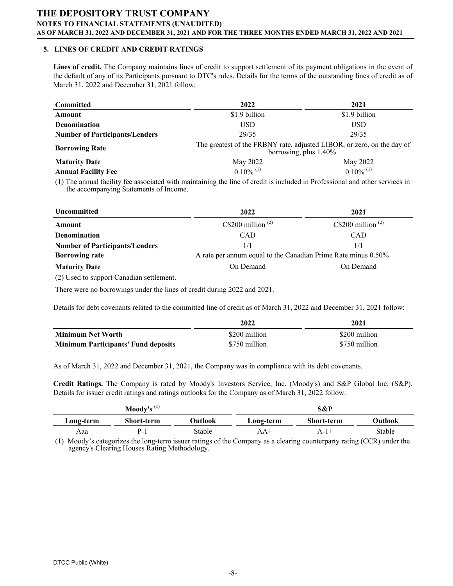#### **5. LINES OF CREDIT AND CREDIT RATINGS**

**Lines of credit.** The Company maintains lines of credit to support settlement of its payment obligations in the event of the default of any of its Participants pursuant to DTC's rules. Details for the terms of the outstanding lines of credit as of March 31, 2022 and December 31, 2021 follow:

| <b>Committed</b>                      | 2022                                                                                             | 2021                    |  |  |  |  |
|---------------------------------------|--------------------------------------------------------------------------------------------------|-------------------------|--|--|--|--|
| Amount                                | \$1.9 billion                                                                                    | \$1.9 billion           |  |  |  |  |
| <b>Denomination</b>                   | USD                                                                                              | USD                     |  |  |  |  |
| <b>Number of Participants/Lenders</b> | 29/35                                                                                            | 29/35                   |  |  |  |  |
| <b>Borrowing Rate</b>                 | The greatest of the FRBNY rate, adjusted LIBOR, or zero, on the day of<br>borrowing, plus 1.40%. |                         |  |  |  |  |
| <b>Maturity Date</b>                  | May 2022                                                                                         | May 2022                |  |  |  |  |
| <b>Annual Facility Fee</b>            | $0.10\%$ <sup>(1)</sup>                                                                          | $0.10\%$ <sup>(1)</sup> |  |  |  |  |

(1) The annual facility fee associated with maintaining the line of credit is included in Professional and other services in the accompanying Statements of Income.

| Uncommitted                           | 2022                                                          | 2021                  |  |  |  |  |
|---------------------------------------|---------------------------------------------------------------|-----------------------|--|--|--|--|
| Amount                                | C\\$200 million $^{(2)}$                                      | C\\$200 million $(2)$ |  |  |  |  |
| <b>Denomination</b>                   | <b>CAD</b>                                                    | <b>CAD</b>            |  |  |  |  |
| <b>Number of Participants/Lenders</b> | 1/1                                                           | 1/1                   |  |  |  |  |
| <b>Borrowing rate</b>                 | A rate per annum equal to the Canadian Prime Rate minus 0.50% |                       |  |  |  |  |
| <b>Maturity Date</b>                  | On Demand                                                     | On Demand             |  |  |  |  |
|                                       |                                                               |                       |  |  |  |  |

(2) Used to support Canadian settlement.

There were no borrowings under the lines of credit during 2022 and 2021.

Details for debt covenants related to the committed line of credit as of March 31, 2022 and December 31, 2021 follow:

|                                            | 2022          | 2021          |
|--------------------------------------------|---------------|---------------|
| Minimum Net Worth                          | \$200 million | \$200 million |
| <b>Minimum Participants' Fund deposits</b> | \$750 million | \$750 million |

As of March 31, 2022 and December 31, 2021, the Company was in compliance with its debt covenants.

**Credit Ratings.** The Company is rated by Moody's Investors Service, Inc. (Moody's) and S&P Global Inc. (S&P). Details for issuer credit ratings and ratings outlooks for the Company as of March 31, 2022 follow:

| Moody's $(1)$ |                   |         | S&P       |                   |         |  |  |
|---------------|-------------------|---------|-----------|-------------------|---------|--|--|
| Long-term     | <b>Short-term</b> | Outlook | Long-term | <b>Short-term</b> | Outlook |  |  |
| Aaa           | $P_{-}$           | Stable  | 4 A +     | A-17              | Stable  |  |  |

(1) Moody's categorizes the long-term issuer ratings of the Company as a clearing counterparty rating (CCR) under the agency's Clearing Houses Rating Methodology.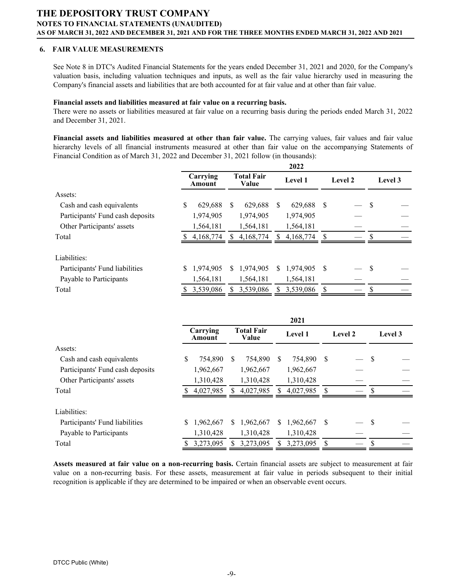#### **6. FAIR VALUE MEASUREMENTS**

See Note 8 in DTC's Audited Financial Statements for the years ended December 31, 2021 and 2020, for the Company's valuation basis, including valuation techniques and inputs, as well as the fair value hierarchy used in measuring the Company's financial assets and liabilities that are both accounted for at fair value and at other than fair value.

#### **Financial assets and liabilities measured at fair value on a recurring basis.**

There were no assets or liabilities measured at fair value on a recurring basis during the periods ended March 31, 2022 and December 31, 2021.

**Financial assets and liabilities measured at other than fair value.** The carrying values, fair values and fair value hierarchy levels of all financial instruments measured at other than fair value on the accompanying Statements of Financial Condition as of March 31, 2022 and December 31, 2021 follow (in thousands):

|                                  | 2022 |                    |    |                            |    |                |               |         |    |         |
|----------------------------------|------|--------------------|----|----------------------------|----|----------------|---------------|---------|----|---------|
|                                  |      | Carrying<br>Amount |    | <b>Total Fair</b><br>Value |    | <b>Level 1</b> |               | Level 2 |    | Level 3 |
| Assets:                          |      |                    |    |                            |    |                |               |         |    |         |
| Cash and cash equivalents        | \$   | 629,688            | S  | 629,688                    | S  | 629,688        | S             |         | \$ |         |
| Participants' Fund cash deposits |      | 1,974,905          |    | 1,974,905                  |    | 1,974,905      |               |         |    |         |
| Other Participants' assets       |      | 1,564,181          |    | 1,564,181                  |    | 1,564,181      |               |         |    |         |
| Total                            |      | 4,168,774          | S  | 4,168,774                  |    | 4,168,774      | -S            |         | \$ |         |
| Liabilities:                     |      |                    |    |                            |    |                |               |         |    |         |
| Participants' Fund liabilities   | \$   | 1,974,905          | S. | 1,974,905                  | S. | 1,974,905      | <sup>\$</sup> |         | \$ |         |
| Payable to Participants          |      | 1,564,181          |    | 1,564,181                  |    | 1,564,181      |               |         |    |         |
| Total                            | S    | 3.539,086          |    | 3,539,086                  |    | 3.539.086      | <sup>\$</sup> |         | \$ |         |

|                                  | 2021 |                    |   |                            |    |           |    |         |    |         |
|----------------------------------|------|--------------------|---|----------------------------|----|-----------|----|---------|----|---------|
|                                  |      | Carrying<br>Amount |   | <b>Total Fair</b><br>Value |    | Level 1   |    | Level 2 |    | Level 3 |
| Assets:                          |      |                    |   |                            |    |           |    |         |    |         |
| Cash and cash equivalents        | \$   | 754,890            | S | 754,890                    | S  | 754,890   | -S |         | S  |         |
| Participants' Fund cash deposits |      | 1,962,667          |   | 1,962,667                  |    | 1,962,667 |    |         |    |         |
| Other Participants' assets       |      | 1,310,428          |   | 1,310,428                  |    | 1,310,428 |    |         |    |         |
| Total                            |      | 4,027,985          | S | 4,027,985                  | S  | 4,027,985 |    |         | \$ |         |
| Liabilities:                     |      |                    |   |                            |    |           |    |         |    |         |
| Participants' Fund liabilities   | \$   | 1,962,667          | S | 1,962,667                  | S. | 1,962,667 | -S |         | S  |         |
| Payable to Participants          |      | 1,310,428          |   | 1,310,428                  |    | 1,310,428 |    |         |    |         |
| Total                            |      | 3,273,095          | S | 3,273,095                  |    | 3,273,095 |    |         | \$ |         |

**Assets measured at fair value on a non-recurring basis.** Certain financial assets are subject to measurement at fair value on a non-recurring basis. For these assets, measurement at fair value in periods subsequent to their initial recognition is applicable if they are determined to be impaired or when an observable event occurs.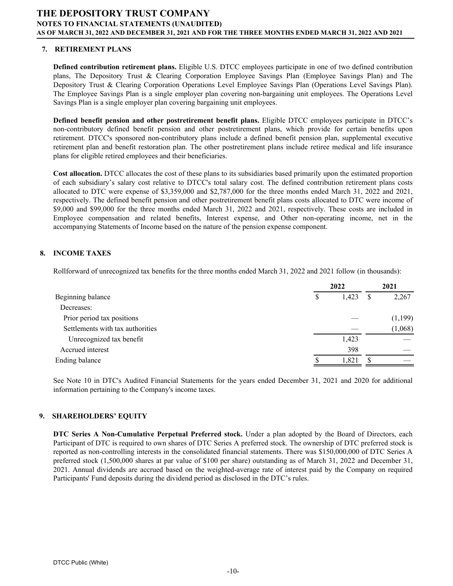#### **7. RETIREMENT PLANS**

**Defined contribution retirement plans.** Eligible U.S. DTCC employees participate in one of two defined contribution plans, The Depository Trust & Clearing Corporation Employee Savings Plan (Employee Savings Plan) and The Depository Trust & Clearing Corporation Operations Level Employee Savings Plan (Operations Level Savings Plan). The Employee Savings Plan is a single employer plan covering non-bargaining unit employees. The Operations Level Savings Plan is a single employer plan covering bargaining unit employees.

**Defined benefit pension and other postretirement benefit plans.** Eligible DTCC employees participate in DTCC's non-contributory defined benefit pension and other postretirement plans, which provide for certain benefits upon retirement. DTCC's sponsored non-contributory plans include a defined benefit pension plan, supplemental executive retirement plan and benefit restoration plan. The other postretirement plans include retiree medical and life insurance plans for eligible retired employees and their beneficiaries.

**Cost allocation.** DTCC allocates the cost of these plans to its subsidiaries based primarily upon the estimated proportion of each subsidiary's salary cost relative to DTCC's total salary cost. The defined contribution retirement plans costs allocated to DTC were expense of \$3,359,000 and \$2,787,000 for the three months ended March 31, 2022 and 2021, respectively. The defined benefit pension and other postretirement benefit plans costs allocated to DTC were income of \$9,000 and \$99,000 for the three months ended March 31, 2022 and 2021, respectively. These costs are included in Employee compensation and related benefits, Interest expense, and Other non-operating income, net in the accompanying Statements of Income based on the nature of the pension expense component.

#### **8. INCOME TAXES**

Rollforward of unrecognized tax benefits for the three months ended March 31, 2022 and 2021 follow (in thousands):

|                                  | 2022 |       | 2021 |         |
|----------------------------------|------|-------|------|---------|
| Beginning balance                | S    | 1,423 | S    | 2,267   |
| Decreases:                       |      |       |      |         |
| Prior period tax positions       |      |       |      | (1,199) |
| Settlements with tax authorities |      |       |      | (1,068) |
| Unrecognized tax benefit         |      | 1,423 |      |         |
| Accrued interest                 |      | 398   |      |         |
| Ending balance                   |      | 1,821 |      |         |
|                                  |      |       |      |         |

See Note 10 in DTC's Audited Financial Statements for the years ended December 31, 2021 and 2020 for additional information pertaining to the Company's income taxes.

#### **9. SHAREHOLDERS' EQUITY**

**DTC Series A Non-Cumulative Perpetual Preferred stock.** Under a plan adopted by the Board of Directors, each Participant of DTC is required to own shares of DTC Series A preferred stock. The ownership of DTC preferred stock is reported as non-controlling interests in the consolidated financial statements. There was \$150,000,000 of DTC Series A preferred stock (1,500,000 shares at par value of \$100 per share) outstanding as of March 31, 2022 and December 31, 2021. Annual dividends are accrued based on the weighted-average rate of interest paid by the Company on required Participants' Fund deposits during the dividend period as disclosed in the DTC's rules.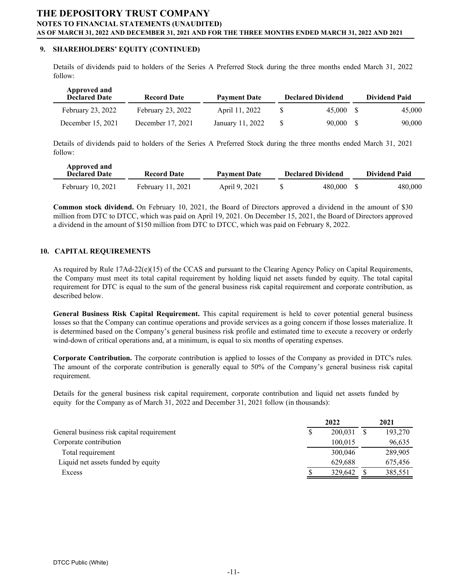#### **9. SHAREHOLDERS' EQUITY (CONTINUED)**

Details of dividends paid to holders of the Series A Preferred Stock during the three months ended March 31, 2022 follow:

| Approved and<br><b>Declared Date</b> | <b>Record Date</b> | <b>Payment Date</b> | <b>Declared Dividend</b> | <b>Dividend Paid</b> |
|--------------------------------------|--------------------|---------------------|--------------------------|----------------------|
| February 23, 2022                    | February 23, 2022  | April 11, 2022      | 45,000 \$                | 45,000               |
| December 15, 2021                    | December 17, 2021  | January 11, 2022    | 90.000 S                 | 90,000               |

Details of dividends paid to holders of the Series A Preferred Stock during the three months ended March 31, 2021 follow:

| Approved and<br><b>Declared Date</b> | <b>Record Date</b> | <b>Payment Date</b> |  | <b>Declared Dividend</b> | Dividend Paid |         |  |
|--------------------------------------|--------------------|---------------------|--|--------------------------|---------------|---------|--|
| February 10, 2021                    | February 11, 2021  | April 9, 2021       |  | 480.000                  |               | 480,000 |  |

**Common stock dividend.** On February 10, 2021, the Board of Directors approved a dividend in the amount of \$30 million from DTC to DTCC, which was paid on April 19, 2021. On December 15, 2021, the Board of Directors approved a dividend in the amount of \$150 million from DTC to DTCC, which was paid on February 8, 2022.

#### **10. CAPITAL REQUIREMENTS**

As required by Rule 17Ad-22(e)(15) of the CCAS and pursuant to the Clearing Agency Policy on Capital Requirements, the Company must meet its total capital requirement by holding liquid net assets funded by equity. The total capital requirement for DTC is equal to the sum of the general business risk capital requirement and corporate contribution, as described below.

**General Business Risk Capital Requirement.** This capital requirement is held to cover potential general business losses so that the Company can continue operations and provide services as a going concern if those losses materialize. It is determined based on the Company's general business risk profile and estimated time to execute a recovery or orderly wind-down of critical operations and, at a minimum, is equal to six months of operating expenses.

**Corporate Contribution.** The corporate contribution is applied to losses of the Company as provided in DTC's rules. The amount of the corporate contribution is generally equal to 50% of the Company's general business risk capital requirement.

Details for the general business risk capital requirement, corporate contribution and liquid net assets funded by equity for the Company as of March 31, 2022 and December 31, 2021 follow (in thousands):

|                                           | 2022    | 2021    |
|-------------------------------------------|---------|---------|
| General business risk capital requirement | 200.031 | 193,270 |
| Corporate contribution                    | 100.015 | 96,635  |
| Total requirement                         | 300,046 | 289,905 |
| Liquid net assets funded by equity        | 629.688 | 675,456 |
| Excess                                    | 329.642 | 385,551 |